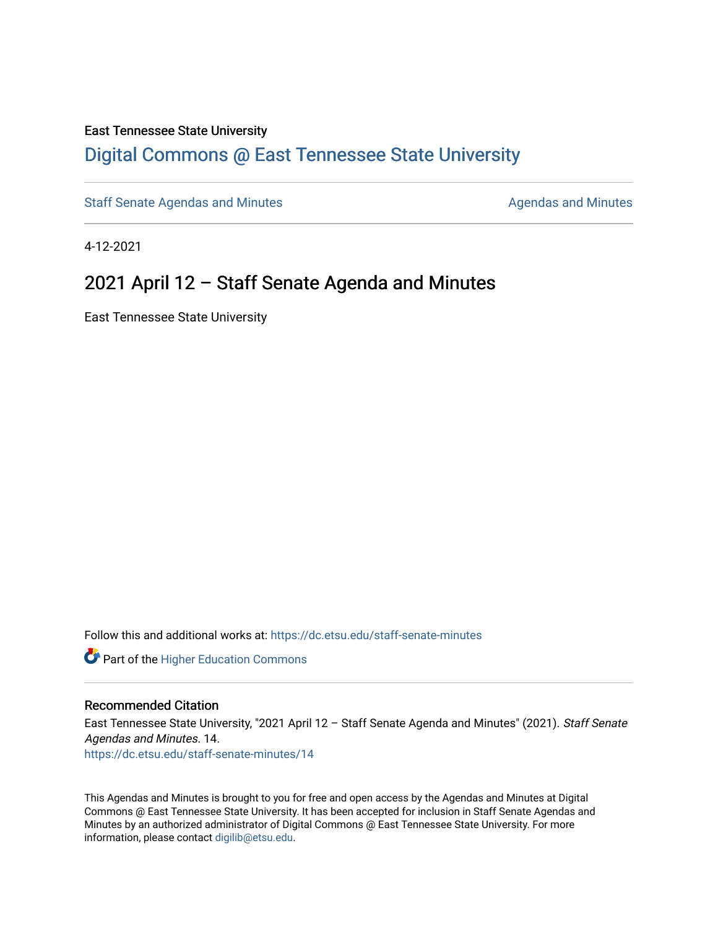#### East Tennessee State University

### [Digital Commons @ East Tennessee State University](https://dc.etsu.edu/)

[Staff Senate Agendas and Minutes](https://dc.etsu.edu/staff-senate-minutes) **Agent Agent Staff Senate Agendas and Minutes** Agendas and Minutes

4-12-2021

### 2021 April 12 – Staff Senate Agenda and Minutes

East Tennessee State University

Follow this and additional works at: [https://dc.etsu.edu/staff-senate-minutes](https://dc.etsu.edu/staff-senate-minutes?utm_source=dc.etsu.edu%2Fstaff-senate-minutes%2F14&utm_medium=PDF&utm_campaign=PDFCoverPages)

**Part of the Higher Education Commons** 

#### Recommended Citation

East Tennessee State University, "2021 April 12 – Staff Senate Agenda and Minutes" (2021). Staff Senate Agendas and Minutes. 14. [https://dc.etsu.edu/staff-senate-minutes/14](https://dc.etsu.edu/staff-senate-minutes/14?utm_source=dc.etsu.edu%2Fstaff-senate-minutes%2F14&utm_medium=PDF&utm_campaign=PDFCoverPages) 

This Agendas and Minutes is brought to you for free and open access by the Agendas and Minutes at Digital Commons @ East Tennessee State University. It has been accepted for inclusion in Staff Senate Agendas and Minutes by an authorized administrator of Digital Commons @ East Tennessee State University. For more information, please contact [digilib@etsu.edu.](mailto:digilib@etsu.edu)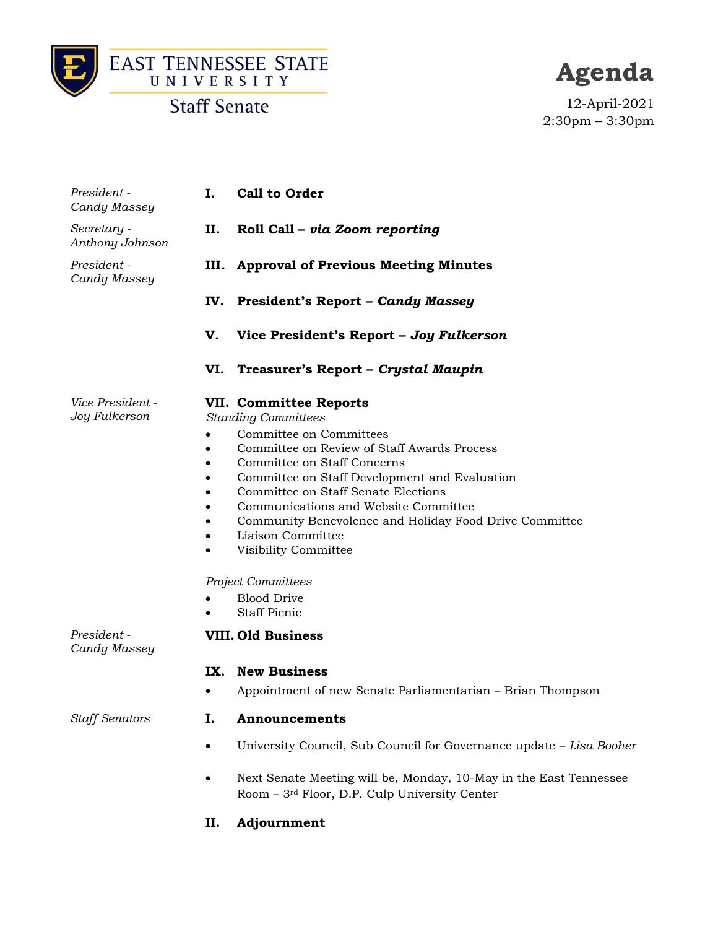



**Agenda**

12-April-2021 2:30pm – 3:30pm

| Secretary -<br>II.<br>Roll Call - via Zoom reporting<br>Anthony Johnson<br>President -<br>III. Approval of Previous Meeting Minutes<br>Candy Massey                                                                                                                                                                                                                                                                                                                                                                                                                            |  |
|--------------------------------------------------------------------------------------------------------------------------------------------------------------------------------------------------------------------------------------------------------------------------------------------------------------------------------------------------------------------------------------------------------------------------------------------------------------------------------------------------------------------------------------------------------------------------------|--|
|                                                                                                                                                                                                                                                                                                                                                                                                                                                                                                                                                                                |  |
|                                                                                                                                                                                                                                                                                                                                                                                                                                                                                                                                                                                |  |
| IV.<br><b>President's Report - Candy Massey</b>                                                                                                                                                                                                                                                                                                                                                                                                                                                                                                                                |  |
| V.<br>Vice President's Report - Joy Fulkerson                                                                                                                                                                                                                                                                                                                                                                                                                                                                                                                                  |  |
| VI.<br>Treasurer's Report - Crystal Maupin                                                                                                                                                                                                                                                                                                                                                                                                                                                                                                                                     |  |
| Vice President -<br><b>VII. Committee Reports</b><br>Joy Fulkerson<br><b>Standing Committees</b><br>Committee on Committees<br>Committee on Review of Staff Awards Process<br>$\bullet$<br>Committee on Staff Concerns<br>$\bullet$<br>Committee on Staff Development and Evaluation<br>$\bullet$<br>Committee on Staff Senate Elections<br>Communications and Website Committee<br>Community Benevolence and Holiday Food Drive Committee<br>Liaison Committee<br>Visibility Committee<br>$\bullet$<br><b>Project Committees</b><br><b>Blood Drive</b><br><b>Staff Picnic</b> |  |
| President -<br><b>VIII. Old Business</b><br>Candy Massey                                                                                                                                                                                                                                                                                                                                                                                                                                                                                                                       |  |
| <b>New Business</b><br>IX.                                                                                                                                                                                                                                                                                                                                                                                                                                                                                                                                                     |  |
| Appointment of new Senate Parliamentarian - Brian Thompson                                                                                                                                                                                                                                                                                                                                                                                                                                                                                                                     |  |
| <b>Staff Senators</b><br>Ι.<br>Announcements                                                                                                                                                                                                                                                                                                                                                                                                                                                                                                                                   |  |
| University Council, Sub Council for Governance update - Lisa Booher<br>$\bullet$                                                                                                                                                                                                                                                                                                                                                                                                                                                                                               |  |

- Next Senate Meeting will be, Monday, 10-May in the East Tennessee Room – 3rd Floor, D.P. Culp University Center
- **II. Adjournment**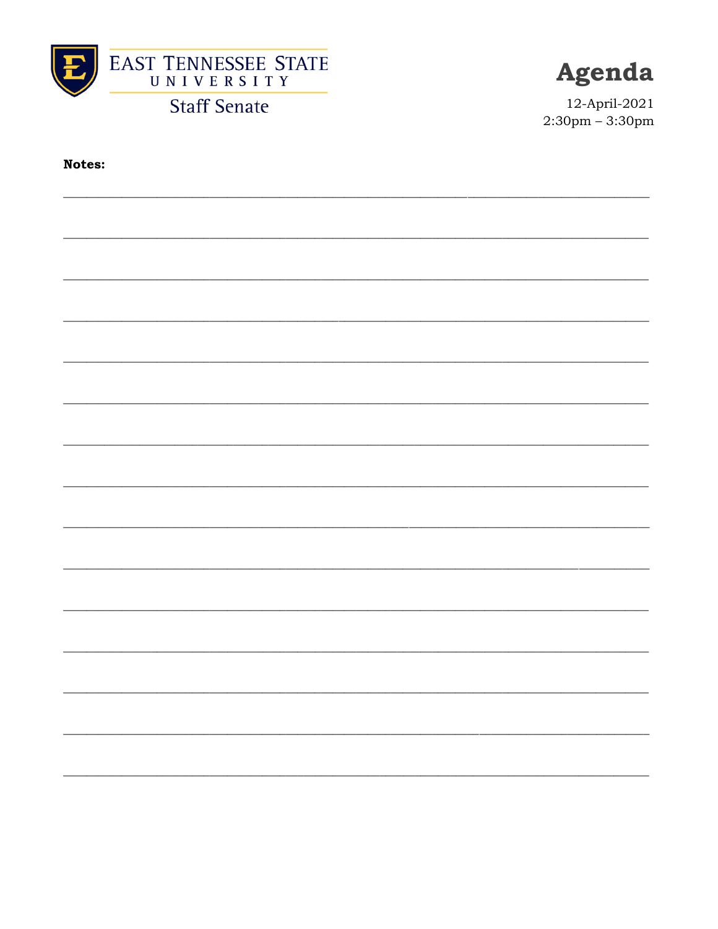



12-April-2021  $2:30 \text{pm} - 3:30 \text{pm}$ 

Notes: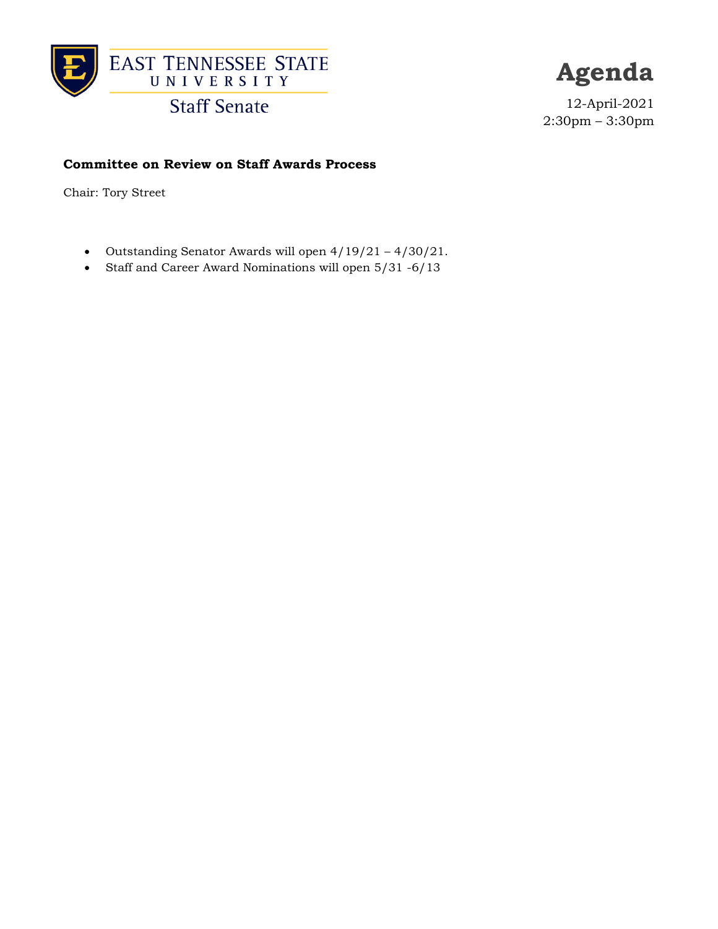

**Agenda**

12-April-2021 2:30pm – 3:30pm

#### **Committee on Review on Staff Awards Process**

Chair: Tory Street

- Outstanding Senator Awards will open 4/19/21 4/30/21.
- Staff and Career Award Nominations will open 5/31 -6/13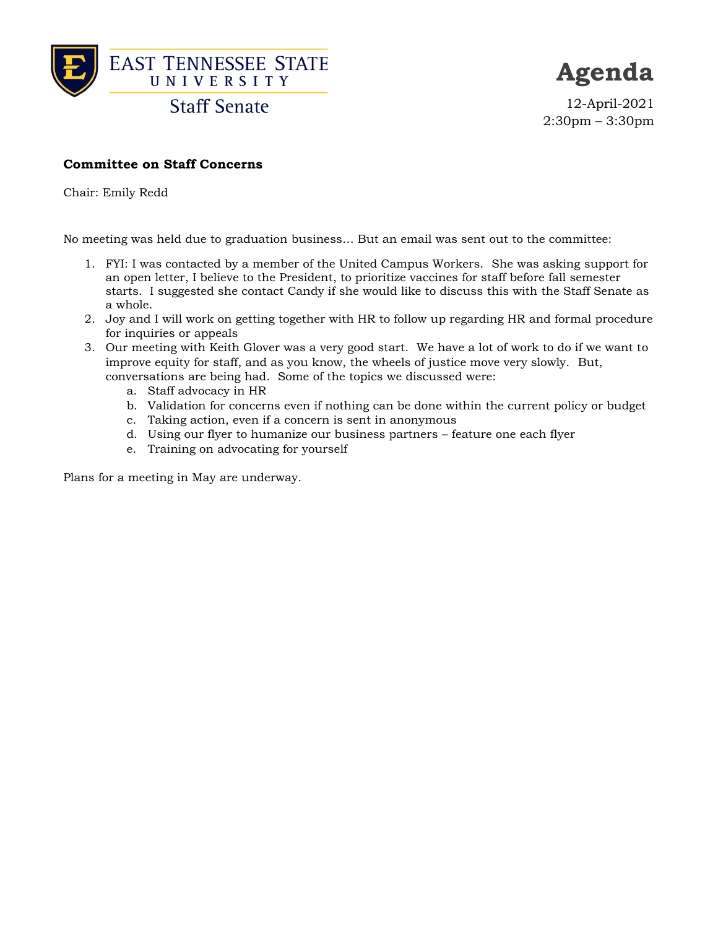

**Agenda**

12-April-2021 2:30pm – 3:30pm

#### **Committee on Staff Concerns**

Chair: Emily Redd

No meeting was held due to graduation business… But an email was sent out to the committee:

- 1. FYI: I was contacted by a member of the United Campus Workers. She was asking support for an open letter, I believe to the President, to prioritize vaccines for staff before fall semester starts. I suggested she contact Candy if she would like to discuss this with the Staff Senate as a whole.
- 2. Joy and I will work on getting together with HR to follow up regarding HR and formal procedure for inquiries or appeals
- 3. Our meeting with Keith Glover was a very good start. We have a lot of work to do if we want to improve equity for staff, and as you know, the wheels of justice move very slowly. But, conversations are being had. Some of the topics we discussed were:
	- a. Staff advocacy in HR
	- b. Validation for concerns even if nothing can be done within the current policy or budget
	- c. Taking action, even if a concern is sent in anonymous
	- d. Using our flyer to humanize our business partners feature one each flyer
	- e. Training on advocating for yourself

Plans for a meeting in May are underway.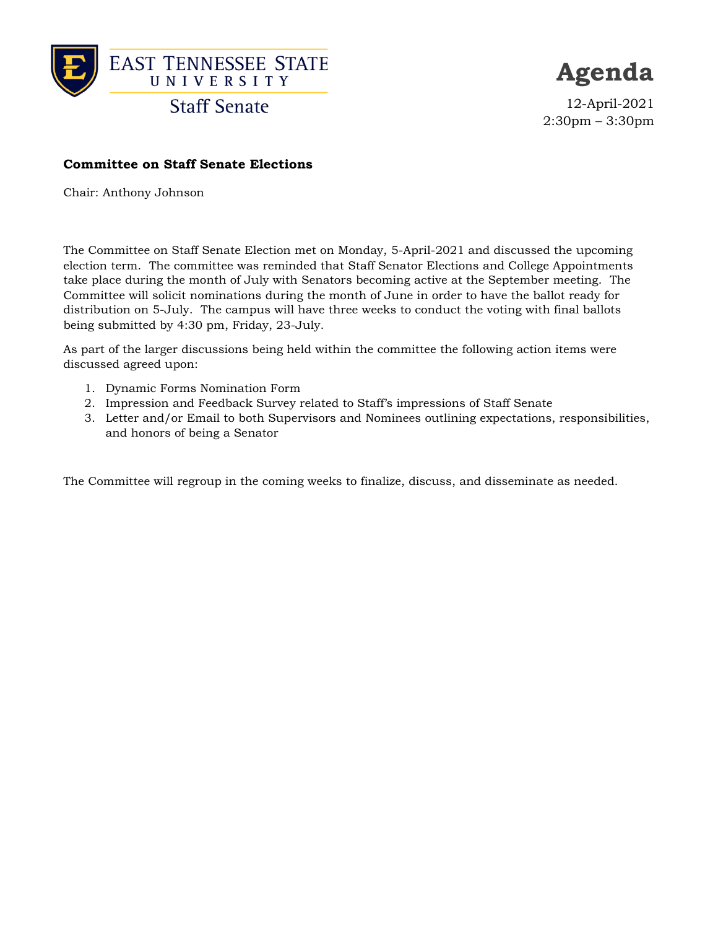

**Agenda**

12-April-2021 2:30pm – 3:30pm

#### **Committee on Staff Senate Elections**

Chair: Anthony Johnson

The Committee on Staff Senate Election met on Monday, 5-April-2021 and discussed the upcoming election term. The committee was reminded that Staff Senator Elections and College Appointments take place during the month of July with Senators becoming active at the September meeting. The Committee will solicit nominations during the month of June in order to have the ballot ready for distribution on 5-July. The campus will have three weeks to conduct the voting with final ballots being submitted by 4:30 pm, Friday, 23-July.

As part of the larger discussions being held within the committee the following action items were discussed agreed upon:

- 1. Dynamic Forms Nomination Form
- 2. Impression and Feedback Survey related to Staff's impressions of Staff Senate
- 3. Letter and/or Email to both Supervisors and Nominees outlining expectations, responsibilities, and honors of being a Senator

The Committee will regroup in the coming weeks to finalize, discuss, and disseminate as needed.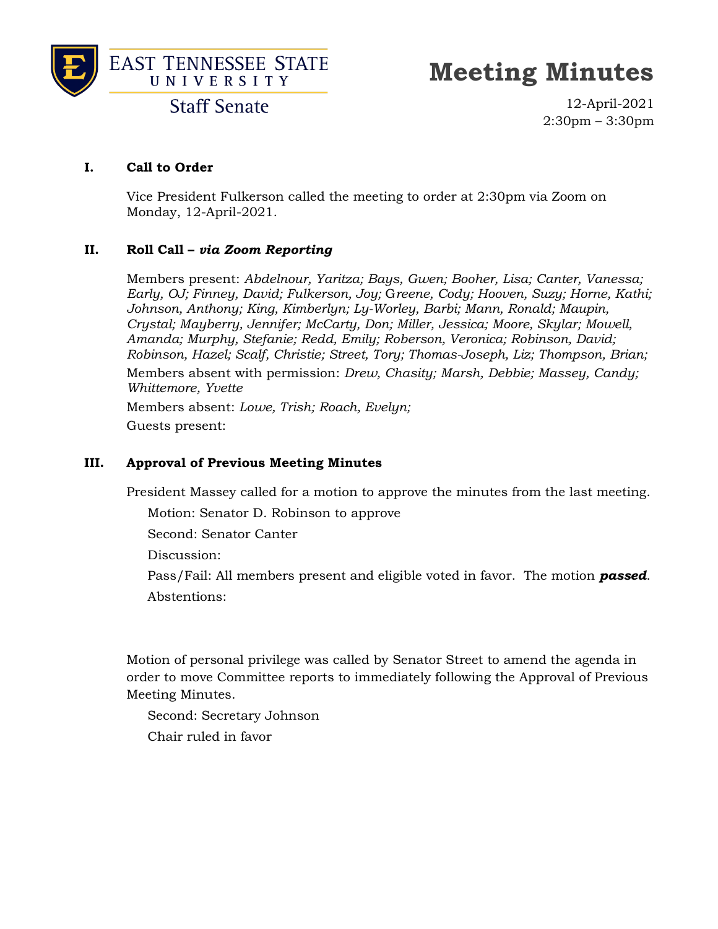



**Staff Senate** 

12-April-2021 2:30pm – 3:30pm

#### **I. Call to Order**

Vice President Fulkerson called the meeting to order at 2:30pm via Zoom on Monday, 12-April-2021.

#### **II. Roll Call –** *via Zoom Reporting*

Members present: *Abdelnour, Yaritza; Bays, Gwen; Booher, Lisa; Canter, Vanessa; Early, OJ; Finney, David; Fulkerson, Joy;* G*reene, Cody; Hooven, Suzy; Horne, Kathi; Johnson, Anthony; King, Kimberlyn; Ly-Worley, Barbi; Mann, Ronald; Maupin, Crystal; Mayberry, Jennifer; McCarty, Don; Miller, Jessica; Moore, Skylar; Mowell, Amanda; Murphy, Stefanie; Redd, Emily; Roberson, Veronica; Robinson, David; Robinson, Hazel; Scalf, Christie; Street, Tory; Thomas-Joseph, Liz; Thompson, Brian;* Members absent with permission: *Drew, Chasity; Marsh, Debbie; Massey, Candy; Whittemore, Yvette*

Members absent: *Lowe, Trish; Roach, Evelyn;* Guests present:

#### **III. Approval of Previous Meeting Minutes**

President Massey called for a motion to approve the minutes from the last meeting.

Motion: Senator D. Robinson to approve

Second: Senator Canter

Discussion:

Pass/Fail: All members present and eligible voted in favor. The motion *passed*. Abstentions:

Motion of personal privilege was called by Senator Street to amend the agenda in order to move Committee reports to immediately following the Approval of Previous Meeting Minutes.

Second: Secretary Johnson

Chair ruled in favor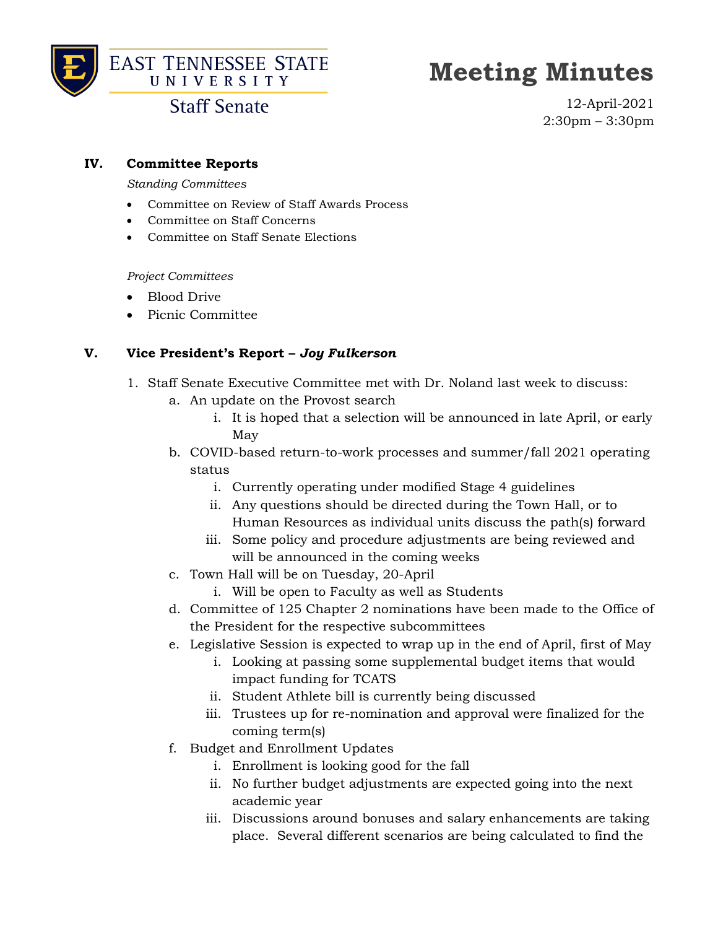



### **Staff Senate**

12-April-2021 2:30pm – 3:30pm

#### **IV. Committee Reports**

#### *Standing Committees*

- Committee on Review of Staff Awards Process
- Committee on Staff Concerns
- Committee on Staff Senate Elections

#### *Project Committees*

- Blood Drive
- Picnic Committee

#### **V. Vice President's Report –** *Joy Fulkerson*

- 1. Staff Senate Executive Committee met with Dr. Noland last week to discuss:
	- a. An update on the Provost search
		- i. It is hoped that a selection will be announced in late April, or early May
	- b. COVID-based return-to-work processes and summer/fall 2021 operating status
		- i. Currently operating under modified Stage 4 guidelines
		- ii. Any questions should be directed during the Town Hall, or to Human Resources as individual units discuss the path(s) forward
		- iii. Some policy and procedure adjustments are being reviewed and will be announced in the coming weeks
	- c. Town Hall will be on Tuesday, 20-April
		- i. Will be open to Faculty as well as Students
	- d. Committee of 125 Chapter 2 nominations have been made to the Office of the President for the respective subcommittees
	- e. Legislative Session is expected to wrap up in the end of April, first of May
		- i. Looking at passing some supplemental budget items that would impact funding for TCATS
		- ii. Student Athlete bill is currently being discussed
		- iii. Trustees up for re-nomination and approval were finalized for the coming term(s)
	- f. Budget and Enrollment Updates
		- i. Enrollment is looking good for the fall
		- ii. No further budget adjustments are expected going into the next academic year
		- iii. Discussions around bonuses and salary enhancements are taking place. Several different scenarios are being calculated to find the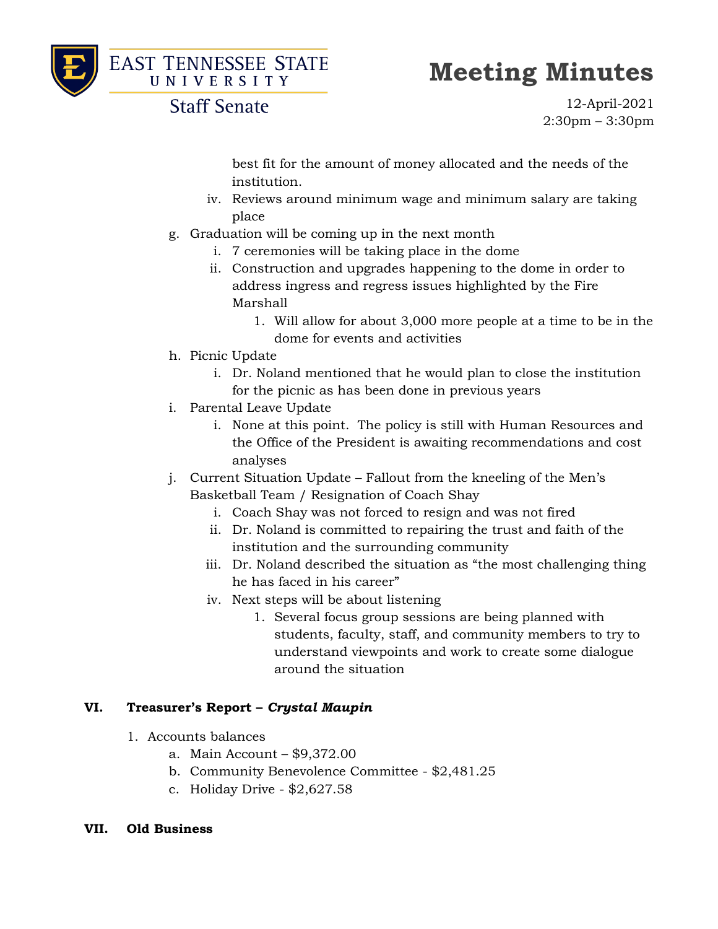



### **Staff Senate**

12-April-2021 2:30pm – 3:30pm

best fit for the amount of money allocated and the needs of the institution.

- iv. Reviews around minimum wage and minimum salary are taking place
- g. Graduation will be coming up in the next month
	- i. 7 ceremonies will be taking place in the dome
	- ii. Construction and upgrades happening to the dome in order to address ingress and regress issues highlighted by the Fire Marshall
		- 1. Will allow for about 3,000 more people at a time to be in the dome for events and activities
- h. Picnic Update
	- i. Dr. Noland mentioned that he would plan to close the institution for the picnic as has been done in previous years
- i. Parental Leave Update
	- i. None at this point. The policy is still with Human Resources and the Office of the President is awaiting recommendations and cost analyses
- j. Current Situation Update Fallout from the kneeling of the Men's Basketball Team / Resignation of Coach Shay
	- i. Coach Shay was not forced to resign and was not fired
	- ii. Dr. Noland is committed to repairing the trust and faith of the institution and the surrounding community
	- iii. Dr. Noland described the situation as "the most challenging thing he has faced in his career"
	- iv. Next steps will be about listening
		- 1. Several focus group sessions are being planned with students, faculty, staff, and community members to try to understand viewpoints and work to create some dialogue around the situation

#### **VI. Treasurer's Report –** *Crystal Maupin*

- 1. Accounts balances
	- a. Main Account \$9,372.00
	- b. Community Benevolence Committee \$2,481.25
	- c. Holiday Drive \$2,627.58
- **VII. Old Business**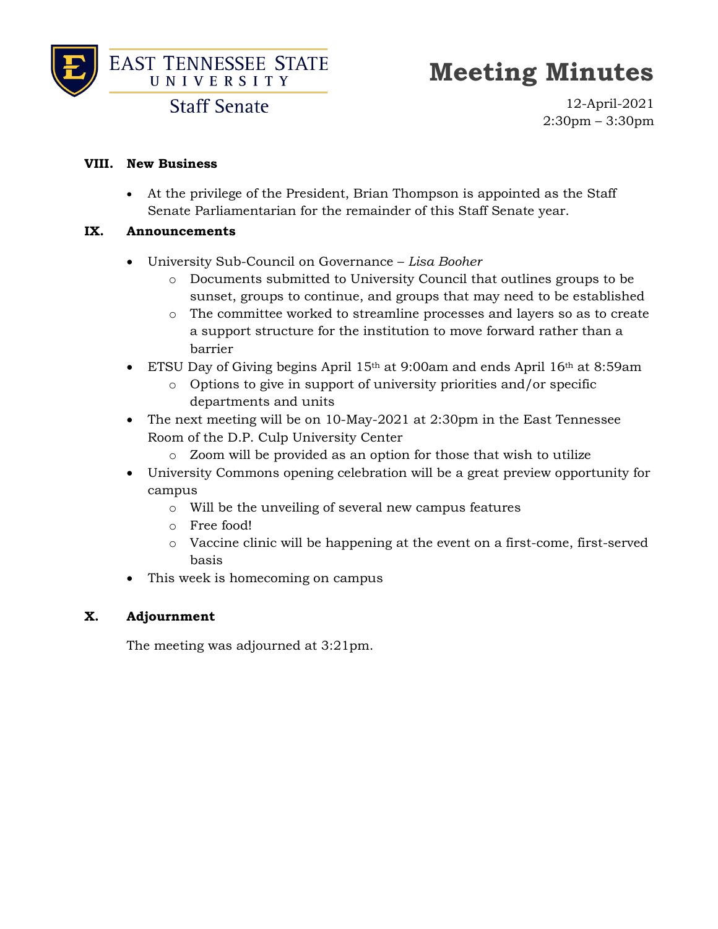

**Staff Senate** 

12-April-2021 2:30pm – 3:30pm

#### **VIII. New Business**

• At the privilege of the President, Brian Thompson is appointed as the Staff Senate Parliamentarian for the remainder of this Staff Senate year.

#### **IX. Announcements**

- University Sub-Council on Governance *Lisa Booher*
	- o Documents submitted to University Council that outlines groups to be sunset, groups to continue, and groups that may need to be established
	- o The committee worked to streamline processes and layers so as to create a support structure for the institution to move forward rather than a barrier
- ETSU Day of Giving begins April 15<sup>th</sup> at 9:00am and ends April 16<sup>th</sup> at 8:59am
	- o Options to give in support of university priorities and/or specific departments and units
- The next meeting will be on 10-May-2021 at 2:30pm in the East Tennessee Room of the D.P. Culp University Center
	- o Zoom will be provided as an option for those that wish to utilize
- University Commons opening celebration will be a great preview opportunity for campus
	- o Will be the unveiling of several new campus features
	- o Free food!
	- o Vaccine clinic will be happening at the event on a first-come, first-served basis
- This week is homecoming on campus

#### **X. Adjournment**

The meeting was adjourned at 3:21pm.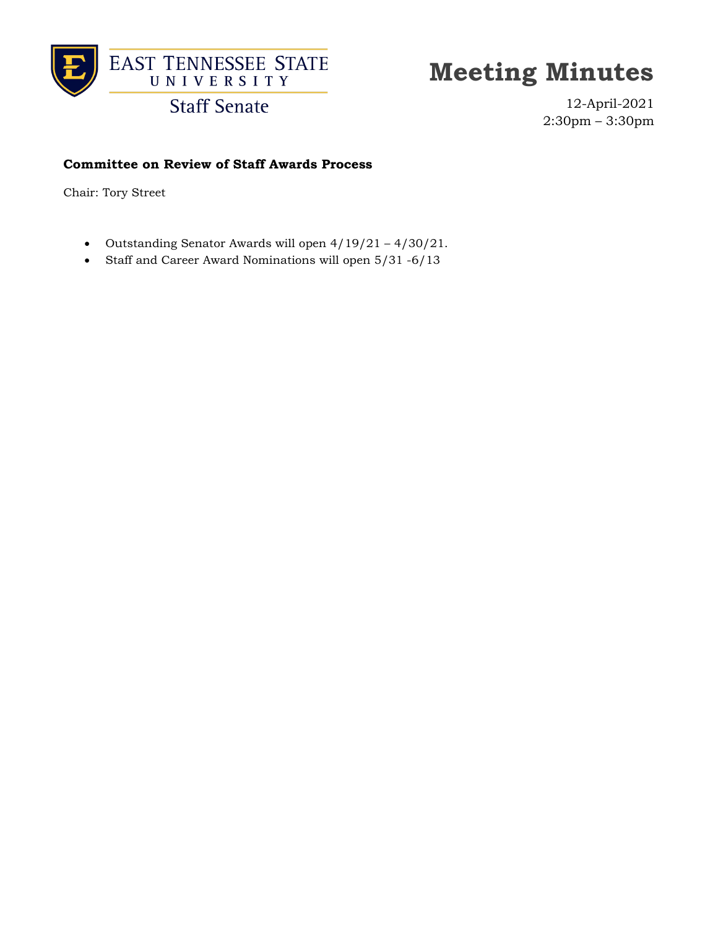

**Staff Senate** 

12-April-2021 2:30pm – 3:30pm

#### **Committee on Review of Staff Awards Process**

Chair: Tory Street

- Outstanding Senator Awards will open 4/19/21 4/30/21.
- Staff and Career Award Nominations will open 5/31 -6/13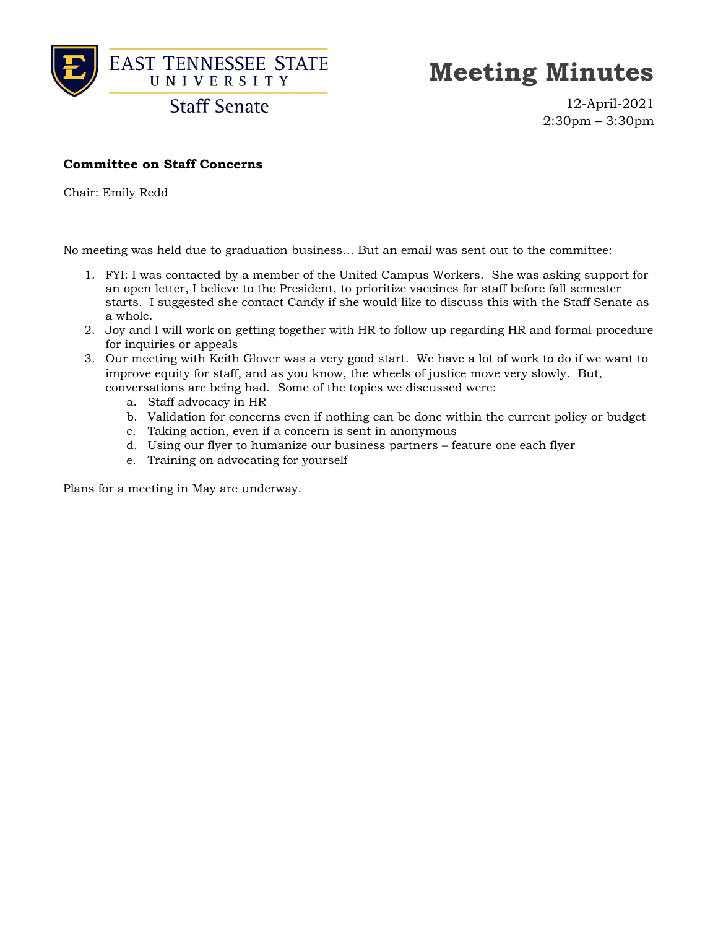

**Staff Senate** 

12-April-2021 2:30pm – 3:30pm

#### **Committee on Staff Concerns**

Chair: Emily Redd

No meeting was held due to graduation business… But an email was sent out to the committee:

- 1. FYI: I was contacted by a member of the United Campus Workers. She was asking support for an open letter, I believe to the President, to prioritize vaccines for staff before fall semester starts. I suggested she contact Candy if she would like to discuss this with the Staff Senate as a whole.
- 2. Joy and I will work on getting together with HR to follow up regarding HR and formal procedure for inquiries or appeals
- 3. Our meeting with Keith Glover was a very good start. We have a lot of work to do if we want to improve equity for staff, and as you know, the wheels of justice move very slowly. But, conversations are being had. Some of the topics we discussed were:
	- a. Staff advocacy in HR
	- b. Validation for concerns even if nothing can be done within the current policy or budget
	- c. Taking action, even if a concern is sent in anonymous
	- d. Using our flyer to humanize our business partners feature one each flyer
	- e. Training on advocating for yourself

Plans for a meeting in May are underway.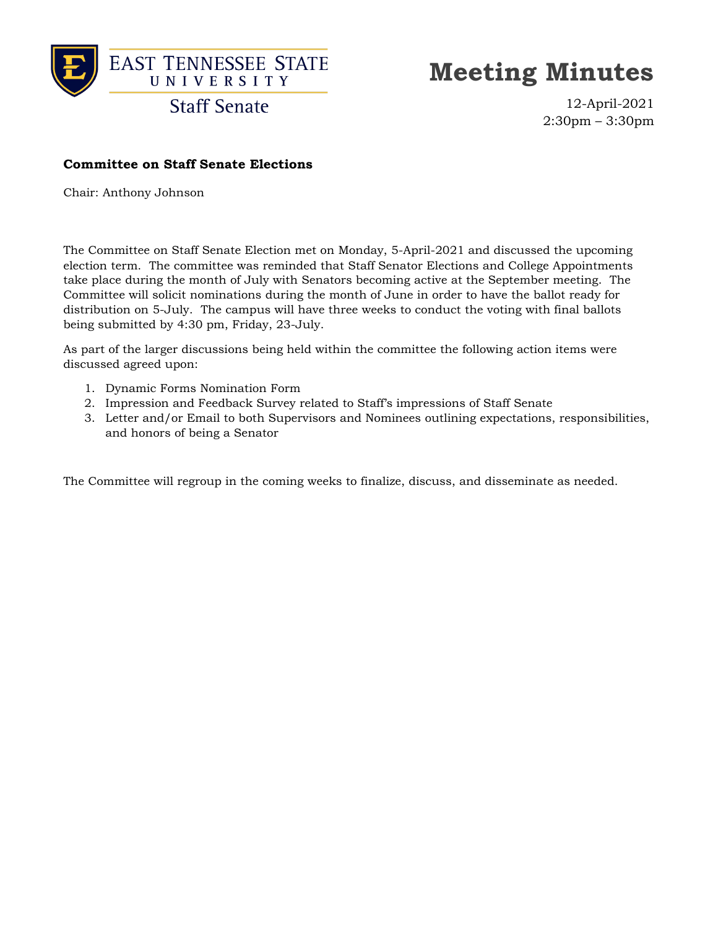

**Staff Senate** 

12-April-2021 2:30pm – 3:30pm

#### **Committee on Staff Senate Elections**

Chair: Anthony Johnson

The Committee on Staff Senate Election met on Monday, 5-April-2021 and discussed the upcoming election term. The committee was reminded that Staff Senator Elections and College Appointments take place during the month of July with Senators becoming active at the September meeting. The Committee will solicit nominations during the month of June in order to have the ballot ready for distribution on 5-July. The campus will have three weeks to conduct the voting with final ballots being submitted by 4:30 pm, Friday, 23-July.

As part of the larger discussions being held within the committee the following action items were discussed agreed upon:

- 1. Dynamic Forms Nomination Form
- 2. Impression and Feedback Survey related to Staff's impressions of Staff Senate
- 3. Letter and/or Email to both Supervisors and Nominees outlining expectations, responsibilities, and honors of being a Senator

The Committee will regroup in the coming weeks to finalize, discuss, and disseminate as needed.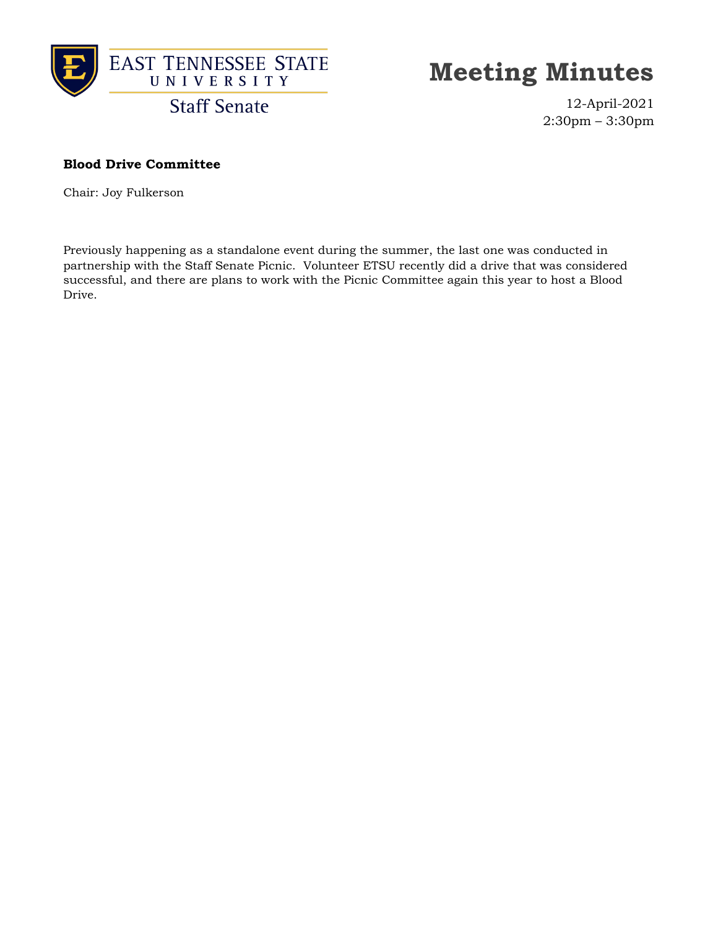

12-April-2021 2:30pm – 3:30pm

#### **Blood Drive Committee**

Chair: Joy Fulkerson

Previously happening as a standalone event during the summer, the last one was conducted in partnership with the Staff Senate Picnic. Volunteer ETSU recently did a drive that was considered successful, and there are plans to work with the Picnic Committee again this year to host a Blood Drive.